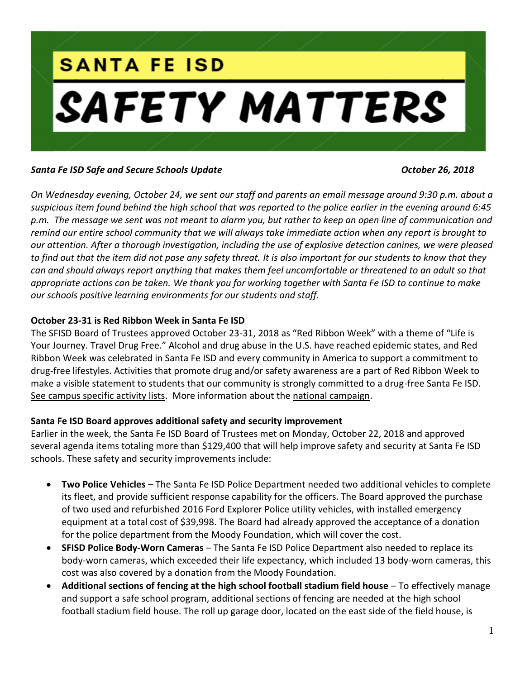

#### *Santa Fe ISD Safe and Secure Schools Update October 26, 2018*

*On Wednesday evening, October 24, we sent our staff and parents an email message around 9:30 p.m. about a suspicious item found behind the high school that was reported to the police earlier in the evening around 6:45 p.m. The message we sent was not meant to alarm you, but rather to keep an open line of communication and remind our entire school community that we will always take immediate action when any report is brought to our attention. After a thorough investigation, including the use of explosive detection canines, we were pleased to find out that the item did not pose any safety threat. It is also important for our students to know that they can and should always report anything that makes them feel uncomfortable or threatened to an adult so that appropriate actions can be taken. We thank you for working together with Santa Fe ISD to continue to make our schools positive learning environments for our students and staff.*

#### **October 23-31 is Red Ribbon Week in Santa Fe ISD**

The SFISD Board of Trustees approved October 23-31, 2018 as "Red Ribbon Week" with a theme of "Life is Your Journey. Travel Drug Free." Alcohol and drug abuse in the U.S. have reached epidemic states, and Red Ribbon Week was celebrated in Santa Fe ISD and every community in America to support a commitment to drug-free lifestyles. Activities that promote drug and/or safety awareness are a part of Red Ribbon Week to make a visible statement to students that our community is strongly committed to a drug-free Santa Fe ISD. [See campus specific activity lists.](https://www.sfisd.org/Page/3486) More information about the [national campaign.](http://redribbon.org/)

## **Santa Fe ISD Board approves additional safety and security improvement**

Earlier in the week, the Santa Fe ISD Board of Trustees met on Monday, October 22, 2018 and approved several agenda items totaling more than \$129,400 that will help improve safety and security at Santa Fe ISD schools. These safety and security improvements include:

- **Two Police Vehicles** The Santa Fe ISD Police Department needed two additional vehicles to complete its fleet, and provide sufficient response capability for the officers. The Board approved the purchase of two used and refurbished 2016 Ford Explorer Police utility vehicles, with installed emergency equipment at a total cost of \$39,998. The Board had already approved the acceptance of a donation for the police department from the Moody Foundation, which will cover the cost.
- **SFISD Police Body-Worn Cameras**  The Santa Fe ISD Police Department also needed to replace its body-worn cameras, which exceeded their life expectancy, which included 13 body-worn cameras, this cost was also covered by a donation from the Moody Foundation.
- **Additional sections of fencing at the high school football stadium field house**  To effectively manage and support a safe school program, additional sections of fencing are needed at the high school football stadium field house. The roll up garage door, located on the east side of the field house, is